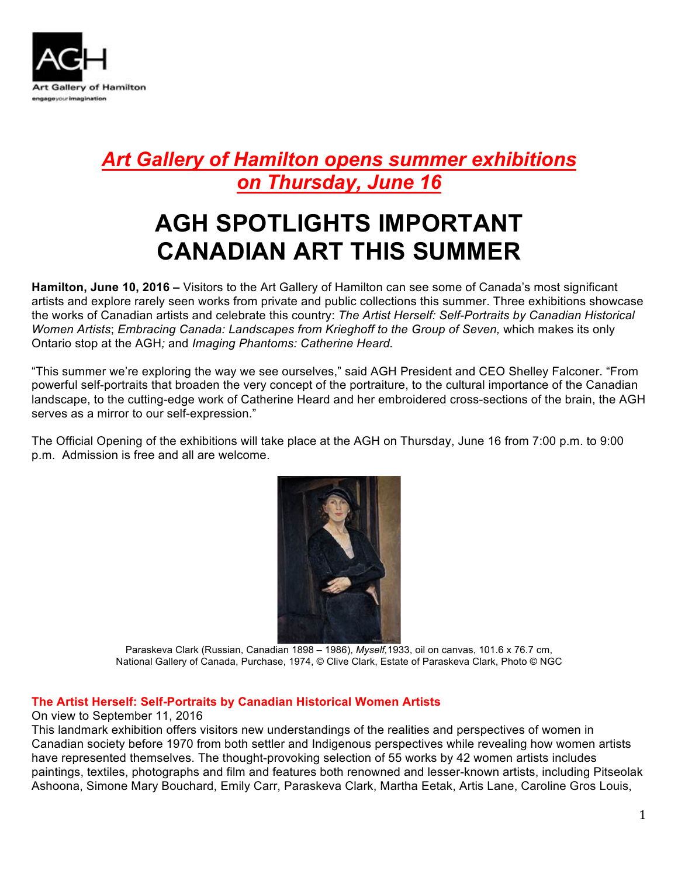

## *Art Gallery of Hamilton opens summer exhibitions on Thursday, June 16*

# **AGH SPOTLIGHTS IMPORTANT CANADIAN ART THIS SUMMER**

**Hamilton, June 10, 2016 –** Visitors to the Art Gallery of Hamilton can see some of Canada's most significant artists and explore rarely seen works from private and public collections this summer. Three exhibitions showcase the works of Canadian artists and celebrate this country: *The Artist Herself: Self-Portraits by Canadian Historical Women Artists; Embracing Canada: Landscapes from Krieghoff to the Group of Seven, which makes its only* Ontario stop at the AGH*;* and *Imaging Phantoms: Catherine Heard.*

"This summer we're exploring the way we see ourselves," said AGH President and CEO Shelley Falconer. "From powerful self-portraits that broaden the very concept of the portraiture, to the cultural importance of the Canadian landscape, to the cutting-edge work of Catherine Heard and her embroidered cross-sections of the brain, the AGH serves as a mirror to our self-expression."

The Official Opening of the exhibitions will take place at the AGH on Thursday, June 16 from 7:00 p.m. to 9:00 p.m. Admission is free and all are welcome.



Paraskeva Clark (Russian, Canadian 1898 – 1986), *Myself,*1933, oil on canvas, 101.6 x 76.7 cm, National Gallery of Canada, Purchase, 1974, © Clive Clark, Estate of Paraskeva Clark, Photo © NGC

#### **The Artist Herself: Self-Portraits by Canadian Historical Women Artists**

On view to September 11, 2016

This landmark exhibition offers visitors new understandings of the realities and perspectives of women in Canadian society before 1970 from both settler and Indigenous perspectives while revealing how women artists have represented themselves. The thought-provoking selection of 55 works by 42 women artists includes paintings, textiles, photographs and film and features both renowned and lesser-known artists, including Pitseolak Ashoona, Simone Mary Bouchard, Emily Carr, Paraskeva Clark, Martha Eetak, Artis Lane, Caroline Gros Louis,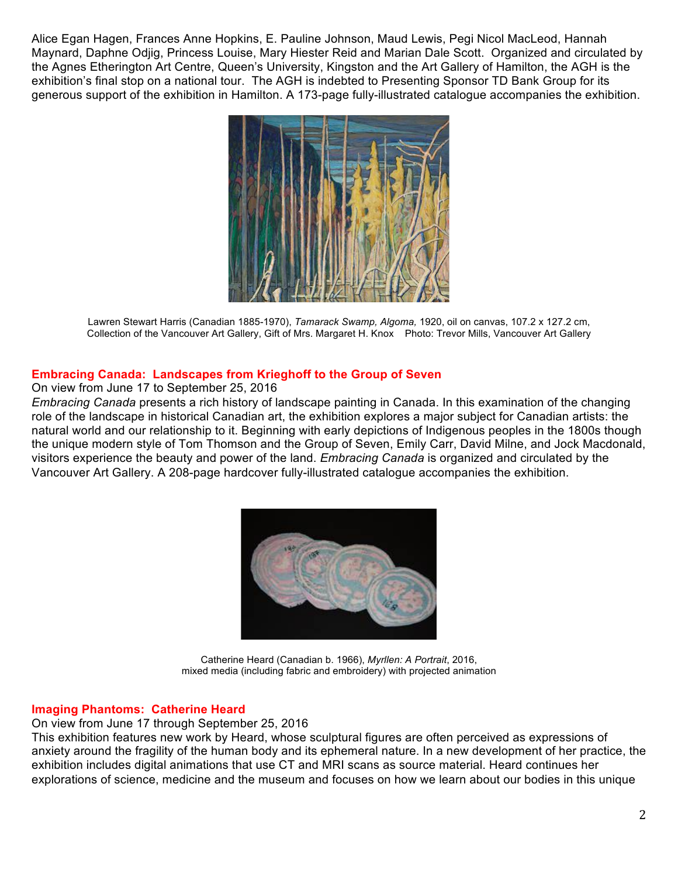Alice Egan Hagen, Frances Anne Hopkins, E. Pauline Johnson, Maud Lewis, Pegi Nicol MacLeod, Hannah Maynard, Daphne Odjig, Princess Louise, Mary Hiester Reid and Marian Dale Scott. Organized and circulated by the Agnes Etherington Art Centre, Queen's University, Kingston and the Art Gallery of Hamilton, the AGH is the exhibition's final stop on a national tour. The AGH is indebted to Presenting Sponsor TD Bank Group for its generous support of the exhibition in Hamilton. A 173-page fully-illustrated catalogue accompanies the exhibition.



Lawren Stewart Harris (Canadian 1885-1970), *Tamarack Swamp, Algoma,* 1920, oil on canvas, 107.2 x 127.2 cm, Collection of the Vancouver Art Gallery, Gift of Mrs. Margaret H. Knox Photo: Trevor Mills, Vancouver Art Gallery

#### **Embracing Canada: Landscapes from Krieghoff to the Group of Seven**

On view from June 17 to September 25, 2016

*Embracing Canada* presents a rich history of landscape painting in Canada. In this examination of the changing role of the landscape in historical Canadian art, the exhibition explores a major subject for Canadian artists: the natural world and our relationship to it. Beginning with early depictions of Indigenous peoples in the 1800s though the unique modern style of Tom Thomson and the Group of Seven, Emily Carr, David Milne, and Jock Macdonald, visitors experience the beauty and power of the land. *Embracing Canada* is organized and circulated by the Vancouver Art Gallery. A 208-page hardcover fully-illustrated catalogue accompanies the exhibition.



Catherine Heard (Canadian b. 1966), *Myrllen: A Portrait*, 2016, mixed media (including fabric and embroidery) with projected animation

#### **Imaging Phantoms: Catherine Heard**

On view from June 17 through September 25, 2016

This exhibition features new work by Heard, whose sculptural figures are often perceived as expressions of anxiety around the fragility of the human body and its ephemeral nature. In a new development of her practice, the exhibition includes digital animations that use CT and MRI scans as source material. Heard continues her explorations of science, medicine and the museum and focuses on how we learn about our bodies in this unique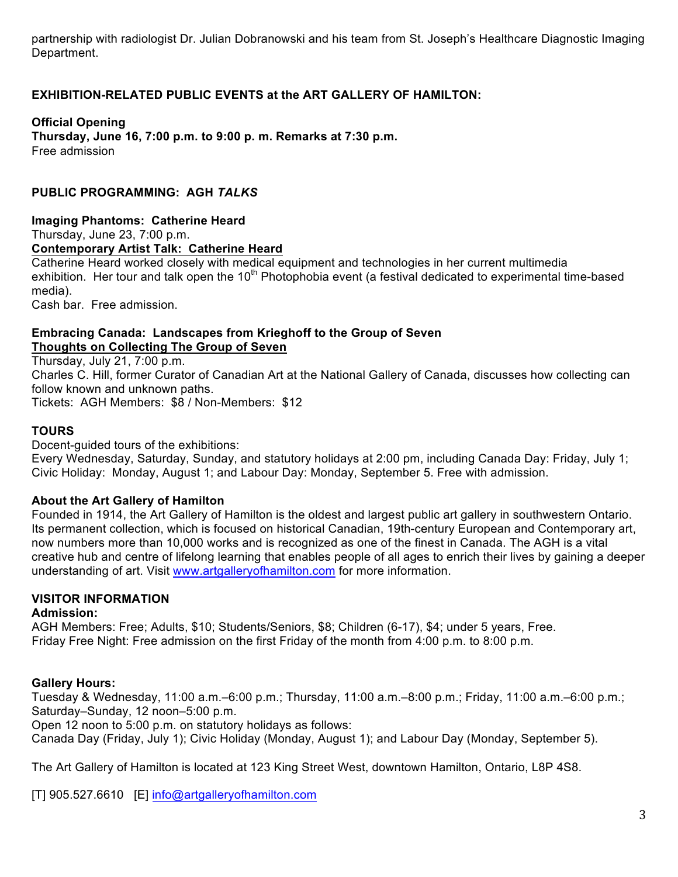partnership with radiologist Dr. Julian Dobranowski and his team from St. Joseph's Healthcare Diagnostic Imaging Department.

#### **EXHIBITION-RELATED PUBLIC EVENTS at the ART GALLERY OF HAMILTON:**

**Official Opening Thursday, June 16, 7:00 p.m. to 9:00 p. m. Remarks at 7:30 p.m.** Free admission

#### **PUBLIC PROGRAMMING: AGH** *TALKS*

**Imaging Phantoms: Catherine Heard** Thursday, June 23, 7:00 p.m. **Contemporary Artist Talk: Catherine Heard**  Catherine Heard worked closely with medical equipment and technologies in her current multimedia

exhibition. Her tour and talk open the 10<sup>th</sup> Photophobia event (a festival dedicated to experimental time-based media).

Cash bar. Free admission.

#### **Embracing Canada: Landscapes from Krieghoff to the Group of Seven Thoughts on Collecting The Group of Seven**

Thursday, July 21, 7:00 p.m. Charles C. Hill, former Curator of Canadian Art at the National Gallery of Canada, discusses how collecting can follow known and unknown paths. Tickets: AGH Members: \$8 / Non-Members: \$12

#### **TOURS**

Docent-guided tours of the exhibitions:

Every Wednesday, Saturday, Sunday, and statutory holidays at 2:00 pm, including Canada Day: Friday, July 1; Civic Holiday: Monday, August 1; and Labour Day: Monday, September 5. Free with admission.

#### **About the Art Gallery of Hamilton**

Founded in 1914, the Art Gallery of Hamilton is the oldest and largest public art gallery in southwestern Ontario. Its permanent collection, which is focused on historical Canadian, 19th-century European and Contemporary art, now numbers more than 10,000 works and is recognized as one of the finest in Canada. The AGH is a vital creative hub and centre of lifelong learning that enables people of all ages to enrich their lives by gaining a deeper understanding of art. Visit www.artgalleryofhamilton.com for more information.

### **VISITOR INFORMATION**

#### **Admission:**

AGH Members: Free; Adults, \$10; Students/Seniors, \$8; Children (6-17), \$4; under 5 years, Free. Friday Free Night: Free admission on the first Friday of the month from 4:00 p.m. to 8:00 p.m.

#### **Gallery Hours:**

Tuesday & Wednesday, 11:00 a.m.–6:00 p.m.; Thursday, 11:00 a.m.–8:00 p.m.; Friday, 11:00 a.m.–6:00 p.m.; Saturday–Sunday, 12 noon–5:00 p.m.

Open 12 noon to 5:00 p.m. on statutory holidays as follows:

Canada Day (Friday, July 1); Civic Holiday (Monday, August 1); and Labour Day (Monday, September 5).

The Art Gallery of Hamilton is located at 123 King Street West, downtown Hamilton, Ontario, L8P 4S8.

[T] 905.527.6610 [E] info@artgalleryofhamilton.com